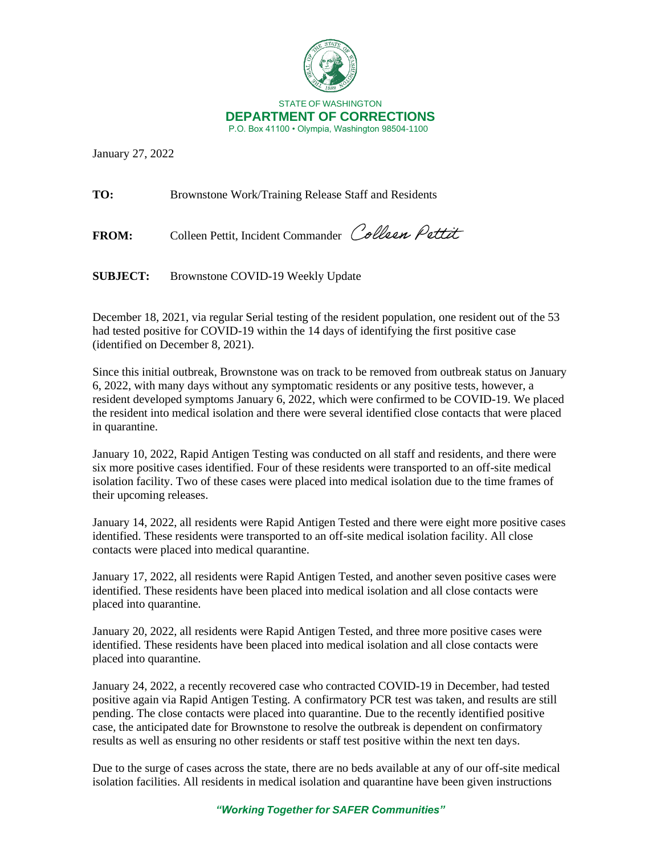

January 27, 2022

**TO:** Brownstone Work/Training Release Staff and Residents

FROM: Colleen Pettit, Incident Commander Colleen Pettit

**SUBJECT:** Brownstone COVID-19 Weekly Update

December 18, 2021, via regular Serial testing of the resident population, one resident out of the 53 had tested positive for COVID-19 within the 14 days of identifying the first positive case (identified on December 8, 2021).

Since this initial outbreak, Brownstone was on track to be removed from outbreak status on January 6, 2022, with many days without any symptomatic residents or any positive tests, however, a resident developed symptoms January 6, 2022, which were confirmed to be COVID-19. We placed the resident into medical isolation and there were several identified close contacts that were placed in quarantine.

January 10, 2022, Rapid Antigen Testing was conducted on all staff and residents, and there were six more positive cases identified. Four of these residents were transported to an off-site medical isolation facility. Two of these cases were placed into medical isolation due to the time frames of their upcoming releases.

January 14, 2022, all residents were Rapid Antigen Tested and there were eight more positive cases identified. These residents were transported to an off-site medical isolation facility. All close contacts were placed into medical quarantine.

January 17, 2022, all residents were Rapid Antigen Tested, and another seven positive cases were identified. These residents have been placed into medical isolation and all close contacts were placed into quarantine.

January 20, 2022, all residents were Rapid Antigen Tested, and three more positive cases were identified. These residents have been placed into medical isolation and all close contacts were placed into quarantine.

January 24, 2022, a recently recovered case who contracted COVID-19 in December, had tested positive again via Rapid Antigen Testing. A confirmatory PCR test was taken, and results are still pending. The close contacts were placed into quarantine. Due to the recently identified positive case, the anticipated date for Brownstone to resolve the outbreak is dependent on confirmatory results as well as ensuring no other residents or staff test positive within the next ten days.

Due to the surge of cases across the state, there are no beds available at any of our off-site medical isolation facilities. All residents in medical isolation and quarantine have been given instructions

*"Working Together for SAFER Communities"*